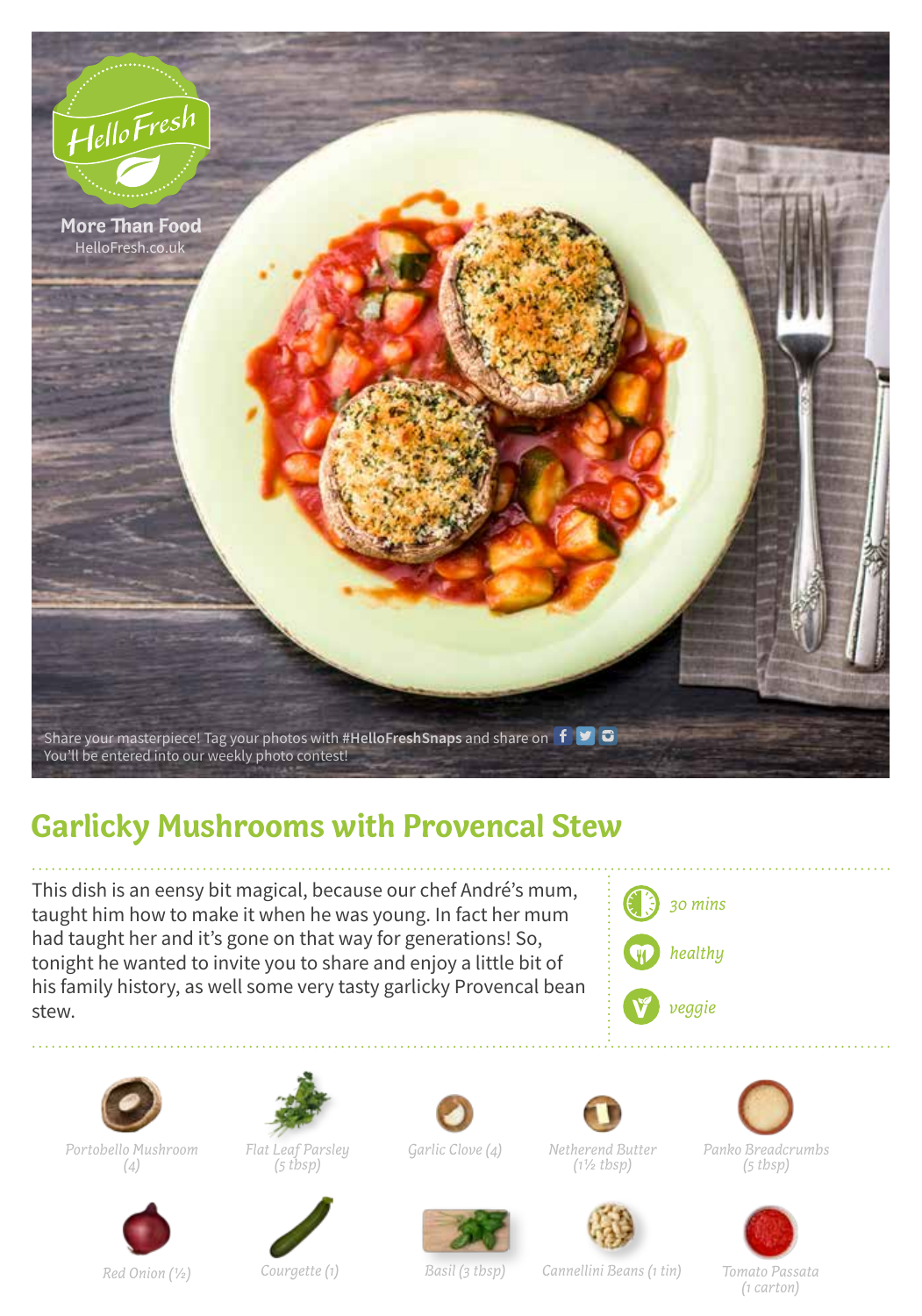

## **Garlicky Mushrooms with Provencal Stew**

This dish is an eensy bit magical, because our chef André's mum, taught him how to make it when he was young. In fact her mum had taught her and it's gone on that way for generations! So, tonight he wanted to invite you to share and enjoy a little bit of his family history, as well some very tasty garlicky Provencal bean stew.





*Portobello Mushroom (4)*



*Flat Leaf Parsley* 

*(5 tbsp)*







*Garlic Clove (4) Panko Breadcrumbs (5 tbsp)*



*Red Onion (1/2) Courgette (1) Tomato Passata Basil (3 tbsp) Cannellini Beans (1 tin) (1 carton)*